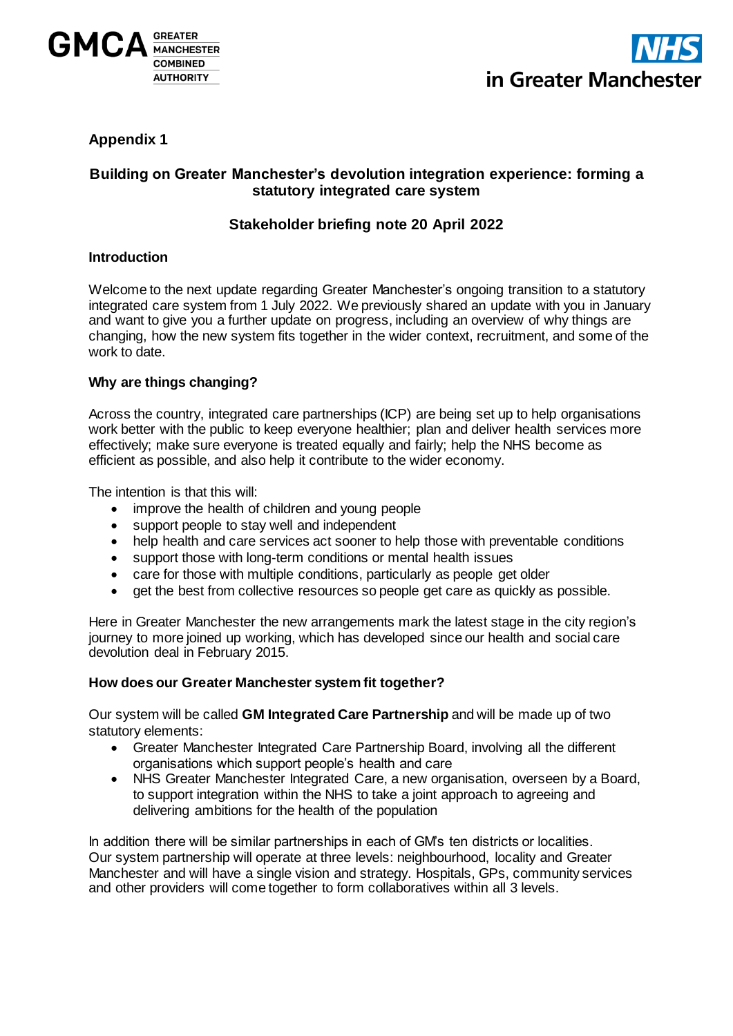



# **Appendix 1**

## **Building on Greater Manchester's devolution integration experience: forming a statutory integrated care system**

## **Stakeholder briefing note 20 April 2022**

#### **Introduction**

Welcome to the next update regarding Greater Manchester's ongoing transition to a statutory integrated care system from 1 July 2022. We previously shared an update with you in January and want to give you a further update on progress, including an overview of why things are changing, how the new system fits together in the wider context, recruitment, and some of the work to date.

### **Why are things changing?**

Across the country, integrated care partnerships (ICP) are being set up to help organisations work better with the public to keep everyone healthier; plan and deliver health services more effectively; make sure everyone is treated equally and fairly; help the NHS become as efficient as possible, and also help it contribute to the wider economy.

The intention is that this will:

- improve the health of children and young people
- support people to stay well and independent
- help health and care services act sooner to help those with preventable conditions
- support those with long-term conditions or mental health issues
- care for those with multiple conditions, particularly as people get older
- get the best from collective resources so people get care as quickly as possible.

Here in Greater Manchester the new arrangements mark the latest stage in the city region's journey to more joined up working, which has developed since our health and social care devolution deal in February 2015.

#### **How does our Greater Manchester system fit together?**

Our system will be called **GM Integrated Care Partnership** and will be made up of two statutory elements:

- Greater Manchester Integrated Care Partnership Board, involving all the different organisations which support people's health and care
- NHS Greater Manchester Integrated Care, a new organisation, overseen by a Board, to support integration within the NHS to take a joint approach to agreeing and delivering ambitions for the health of the population

In addition there will be similar partnerships in each of GM's ten districts or localities. Our system partnership will operate at three levels: neighbourhood, locality and Greater Manchester and will have a single vision and strategy. Hospitals, GPs, community services and other providers will come together to form collaboratives within all 3 levels.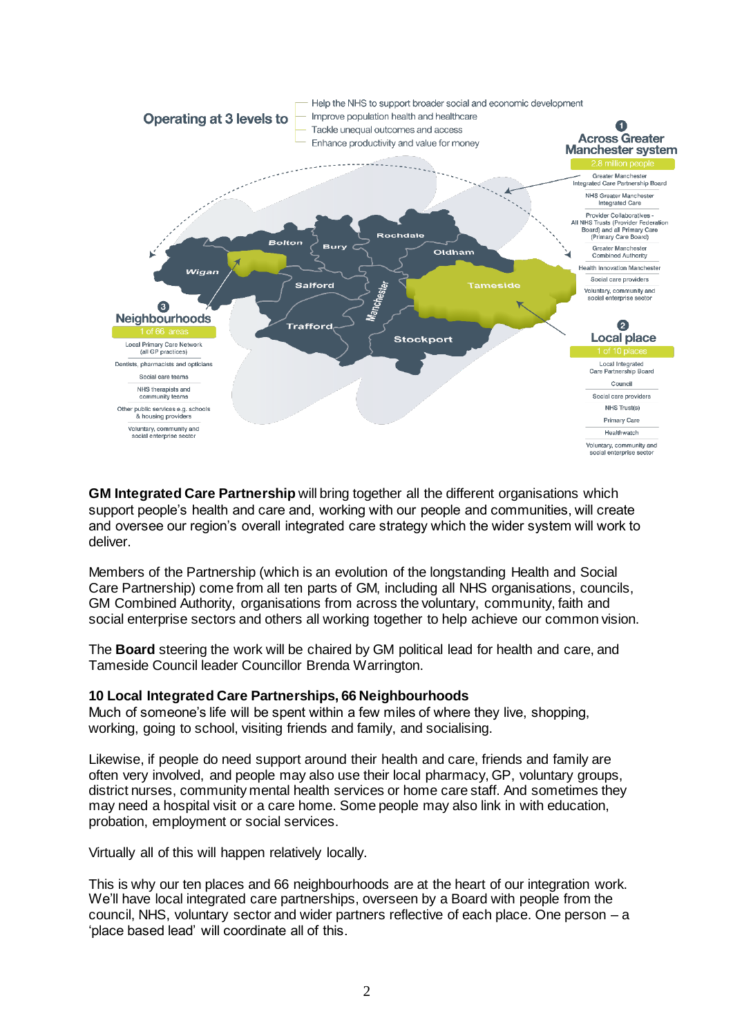

**GM Integrated Care Partnership** will bring together all the different organisations which support people's health and care and, working with our people and communities, will create and oversee our region's overall integrated care strategy which the wider system will work to deliver.

Members of the Partnership (which is an evolution of the longstanding Health and Social Care Partnership) come from all ten parts of GM, including all NHS organisations, councils, GM Combined Authority, organisations from across the voluntary, community, faith and social enterprise sectors and others all working together to help achieve our common vision.

The **Board** steering the work will be chaired by GM political lead for health and care, and Tameside Council leader Councillor Brenda Warrington.

#### **10 Local Integrated Care Partnerships, 66 Neighbourhoods**

Much of someone's life will be spent within a few miles of where they live, shopping, working, going to school, visiting friends and family, and socialising.

Likewise, if people do need support around their health and care, friends and family are often very involved, and people may also use their local pharmacy, GP, voluntary groups, district nurses, community mental health services or home care staff. And sometimes they may need a hospital visit or a care home. Some people may also link in with education, probation, employment or social services.

Virtually all of this will happen relatively locally.

This is why our ten places and 66 neighbourhoods are at the heart of our integration work. We'll have local integrated care partnerships, overseen by a Board with people from the council, NHS, voluntary sector and wider partners reflective of each place. One person – a 'place based lead' will coordinate all of this.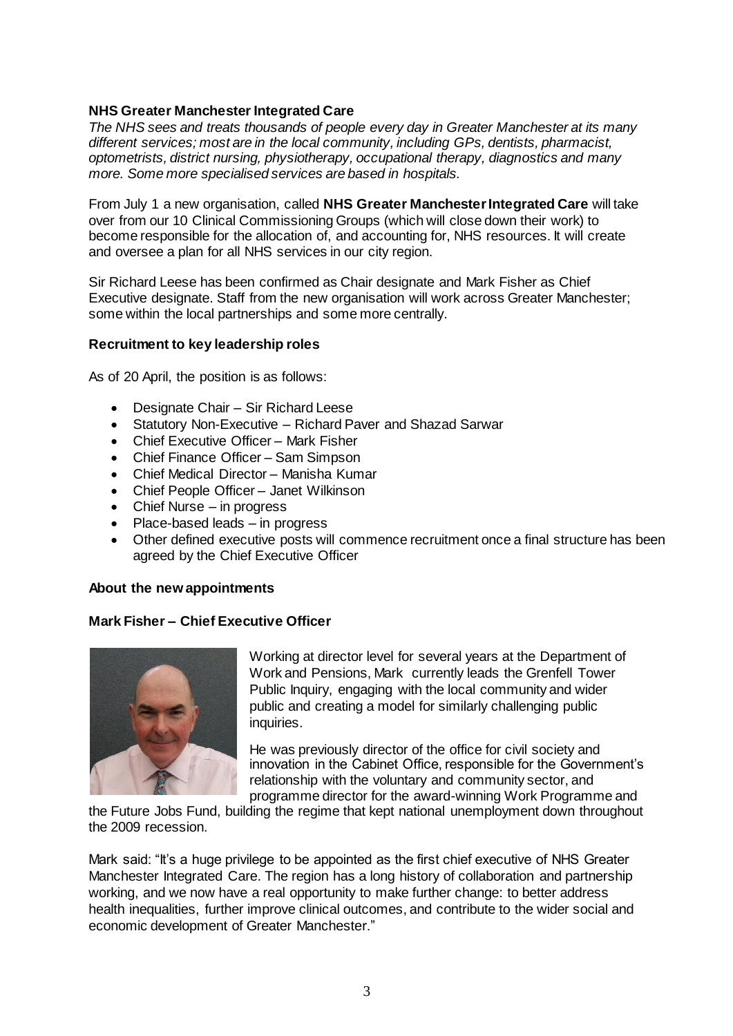## **NHS Greater Manchester Integrated Care**

*The NHS sees and treats thousands of people every day in Greater Manchester at its many different services; most are in the local community, including GPs, dentists, pharmacist, optometrists, district nursing, physiotherapy, occupational therapy, diagnostics and many more. Some more specialised services are based in hospitals.*

From July 1 a new organisation, called **NHS Greater Manchester Integrated Care** will take over from our 10 Clinical Commissioning Groups (which will close down their work) to become responsible for the allocation of, and accounting for, NHS resources. It will create and oversee a plan for all NHS services in our city region.

Sir Richard Leese has been confirmed as Chair designate and Mark Fisher as Chief Executive designate. Staff from the new organisation will work across Greater Manchester; some within the local partnerships and some more centrally.

### **Recruitment to key leadership roles**

As of 20 April, the position is as follows:

- Designate Chair Sir Richard Leese
- Statutory Non-Executive Richard Paver and Shazad Sarwar
- Chief Executive Officer Mark Fisher
- Chief Finance Officer Sam Simpson
- Chief Medical Director Manisha Kumar
- Chief People Officer Janet Wilkinson
- Chief Nurse in progress
- Place-based leads in progress
- Other defined executive posts will commence recruitment once a final structure has been agreed by the Chief Executive Officer

### **About the new appointments**

### **Mark Fisher – Chief Executive Officer**



Working at director level for several years at the Department of Work and Pensions, Mark currently leads the Grenfell Tower Public Inquiry, engaging with the local community and wider public and creating a model for similarly challenging public inquiries.

He was previously director of the office for civil society and innovation in the Cabinet Office, responsible for the Government's relationship with the voluntary and community sector, and programme director for the award-winning Work Programme and

the Future Jobs Fund, building the regime that kept national unemployment down throughout the 2009 recession.

Mark said: "It's a huge privilege to be appointed as the first chief executive of NHS Greater Manchester Integrated Care. The region has a long history of collaboration and partnership working, and we now have a real opportunity to make further change: to better address health inequalities, further improve clinical outcomes, and contribute to the wider social and economic development of Greater Manchester."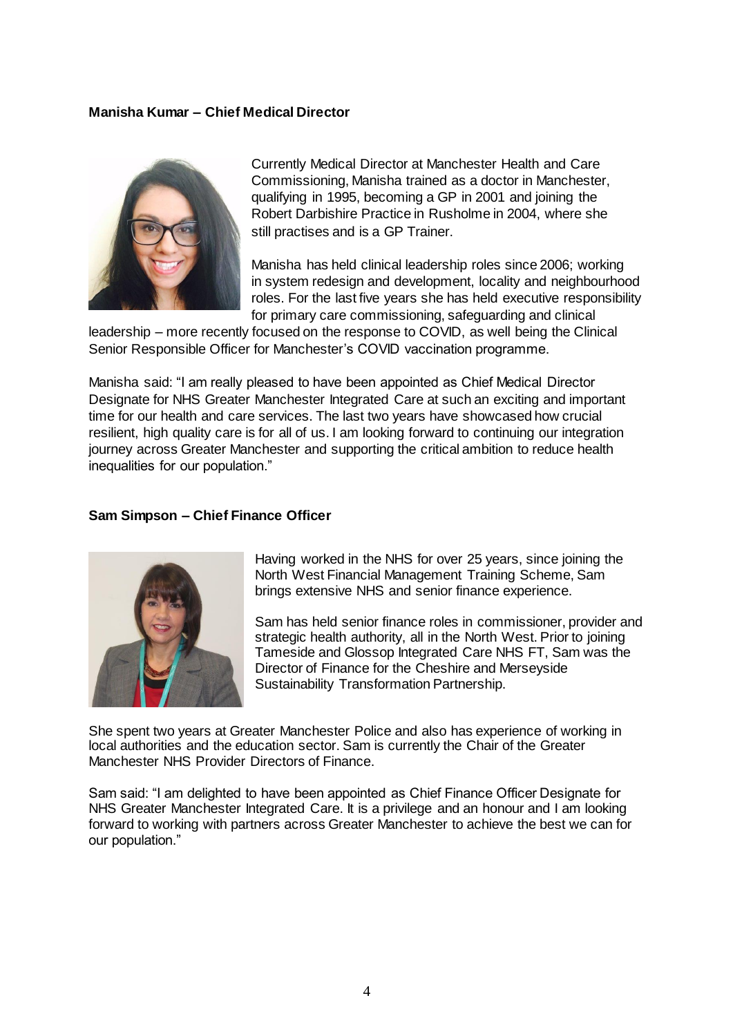### **Manisha Kumar – Chief Medical Director**



Currently Medical Director at Manchester Health and Care Commissioning, Manisha trained as a doctor in Manchester, qualifying in 1995, becoming a GP in 2001 and joining the Robert Darbishire Practice in Rusholme in 2004, where she still practises and is a GP Trainer.

Manisha has held clinical leadership roles since 2006; working in system redesign and development, locality and neighbourhood roles. For the last five years she has held executive responsibility for primary care commissioning, safeguarding and clinical

leadership – more recently focused on the response to COVID, as well being the Clinical Senior Responsible Officer for Manchester's COVID vaccination programme.

Manisha said: "I am really pleased to have been appointed as Chief Medical Director Designate for NHS Greater Manchester Integrated Care at such an exciting and important time for our health and care services. The last two years have showcased how crucial resilient, high quality care is for all of us. I am looking forward to continuing our integration journey across Greater Manchester and supporting the critical ambition to reduce health inequalities for our population."

#### **Sam Simpson – Chief Finance Officer**



Having worked in the NHS for over 25 years, since joining the North West Financial Management Training Scheme, Sam brings extensive NHS and senior finance experience.

Sam has held senior finance roles in commissioner, provider and strategic health authority, all in the North West. Prior to joining Tameside and Glossop Integrated Care NHS FT, Sam was the Director of Finance for the Cheshire and Merseyside Sustainability Transformation Partnership.

She spent two years at Greater Manchester Police and also has experience of working in local authorities and the education sector. Sam is currently the Chair of the Greater Manchester NHS Provider Directors of Finance.

Sam said: "I am delighted to have been appointed as Chief Finance Officer Designate for NHS Greater Manchester Integrated Care. It is a privilege and an honour and I am looking forward to working with partners across Greater Manchester to achieve the best we can for our population."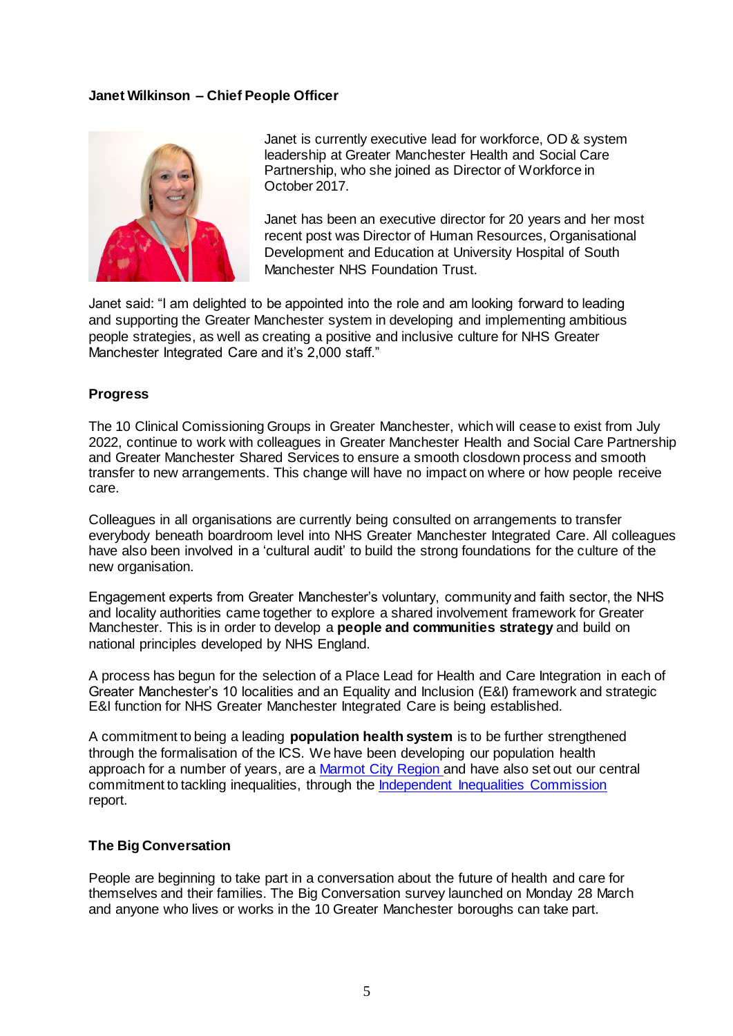### **Janet Wilkinson – Chief People Officer**



Janet is currently executive lead for workforce, OD & system leadership at Greater Manchester Health and Social Care Partnership, who she joined as Director of Workforce in October 2017.

Janet has been an executive director for 20 years and her most recent post was Director of Human Resources, Organisational Development and Education at University Hospital of South Manchester NHS Foundation Trust.

Janet said: "I am delighted to be appointed into the role and am looking forward to leading and supporting the Greater Manchester system in developing and implementing ambitious people strategies, as well as creating a positive and inclusive culture for NHS Greater Manchester Integrated Care and it's 2,000 staff."

#### **Progress**

The 10 Clinical Comissioning Groups in Greater Manchester, which will cease to exist from July 2022, continue to work with colleagues in Greater Manchester Health and Social Care Partnership and Greater Manchester Shared Services to ensure a smooth closdown process and smooth transfer to new arrangements. This change will have no impact on where or how people receive care.

Colleagues in all organisations are currently being consulted on arrangements to transfer everybody beneath boardroom level into NHS Greater Manchester Integrated Care. All colleagues have also been involved in a 'cultural audit' to build the strong foundations for the culture of the new organisation.

Engagement experts from Greater Manchester's voluntary, community and faith sector, the NHS and locality authorities came together to explore a shared involvement framework for Greater Manchester. This is in order to develop a **people and communities strategy** and build on national principles developed by NHS England.

A process has begun for the selection of a Place Lead for Health and Care Integration in each of Greater Manchester's 10 localities and an Equality and Inclusion (E&I) framework and strategic E&I function for NHS Greater Manchester Integrated Care is being established.

A commitment to being a leading **population health system** is to be further strengthened through the formalisation of the ICS. We have been developing our population health approach for a number of years, are a [Marmot City Region a](https://www.gmhsc.org.uk/news/new-bold-ambitious-framework-to-reduce-inequities-build-back-fairer-for-future-generations-if-government-is-serious-about-levelling-up-heres-how-to-do-it-says-marmot/)nd have also set out our central commitment to tackling inequalities, through the [Independent Inequalities Commission](https://www.greatermanchester-ca.gov.uk/what-we-do/equalities/independent-inequalities-commission/)  report.

#### **The Big Conversation**

People are beginning to take part in a conversation about the future of health and care for themselves and their families. The Big Conversation survey launched on Monday 28 March and anyone who lives or works in the 10 Greater Manchester boroughs can take part.